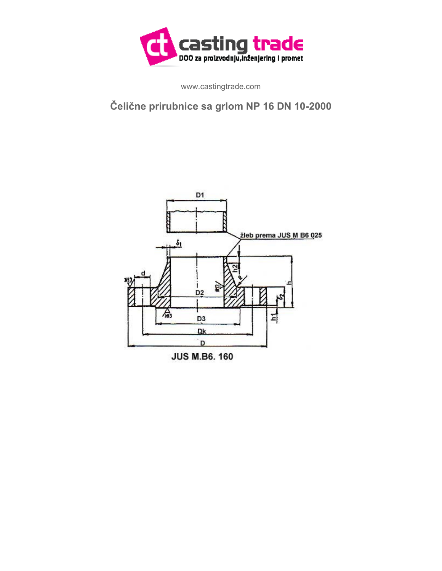

www.castingtrade.com

## **Čelične prirubnice sa grlom NP 16 DN 10-2000**